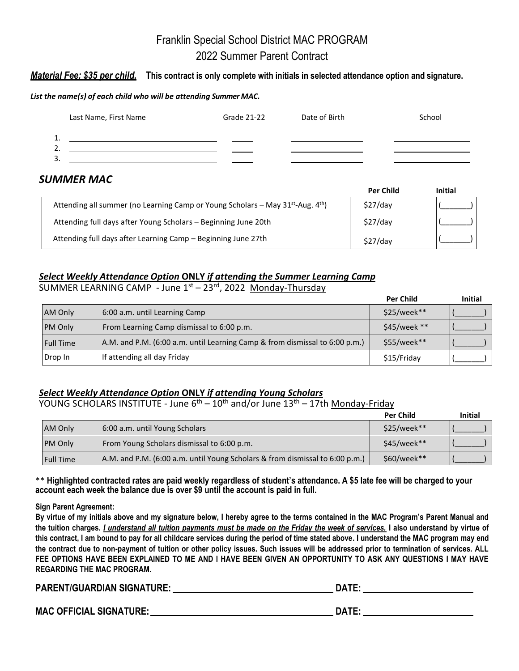# Franklin Special School District MAC PROGRAM 2022 Summer Parent Contract

## *Material Fee: \$35 per child.* **This contract is only complete with initials in selected attendance option and signature.**

### *List the name(s) of each child who will be attending Summer MAC.*

|    | Last Name, First Name | Grade 21-22 | Date of Birth | School |
|----|-----------------------|-------------|---------------|--------|
| 1. |                       |             |               |        |
| 2. |                       |             |               |        |
| 3. |                       |             |               |        |

# *SUMMER MAC*

|                                                                                                         | <b>Per Child</b> | <b>Initial</b> |
|---------------------------------------------------------------------------------------------------------|------------------|----------------|
| Attending all summer (no Learning Camp or Young Scholars – May 31 <sup>st</sup> -Aug. 4 <sup>th</sup> ) | \$27/day         |                |
| Attending full days after Young Scholars - Beginning June 20th                                          | \$27/day         |                |
| Attending full days after Learning Camp - Beginning June 27th                                           | \$27/day         |                |

# *Select Weekly Attendance Option* **ONLY** *if attending the Summer Learning Camp*

SUMMER LEARNING CAMP - June 1<sup>st</sup> – 23<sup>rd</sup>, 2022 Monday-Thursday **Per Child initial** AM Only 6:00 a.m. until Learning Camp \$25/week\*\* (\_\_\_\_\_\_\_) PM Only From Learning Camp dismissal to 6:00 p.m.  $\blacksquare$  \$45/week \*\* Full Time  $\vert$  A.M. and P.M. (6:00 a.m. until Learning Camp & from dismissal to 6:00 p.m.)  $\vert$  \$55/week\*\*

Drop In If attending all day Friday (2008) \$15/Friday (2008) \$15/Friday (2008)

## *Select Weekly Attendance Option* **ONLY** *if attending Young Scholars*

YOUNG SCHOLARS INSTITUTE - June 6<sup>th</sup> – 10<sup>th</sup> and/or June 13<sup>th</sup> – 17th <u>Monday-Friday</u>

|                  |                                                                              | <b>Per Child</b> | <b>Initial</b> |
|------------------|------------------------------------------------------------------------------|------------------|----------------|
| AM Only          | 6:00 a.m. until Young Scholars                                               | $$25/week**$     |                |
| <b>PM Only</b>   | From Young Scholars dismissal to 6:00 p.m.                                   | $$45/week**$     |                |
| <b>Full Time</b> | A.M. and P.M. (6:00 a.m. until Young Scholars & from dismissal to 6:00 p.m.) | $$60/week**$     |                |

\*\* **Highlighted contracted rates are paid weekly regardless of student's attendance. A \$5 late fee will be charged to your account each week the balance due is over \$9 until the account is paid in full.**

### **Sign Parent Agreement:**

**By virtue of my initials above and my signature below, I hereby agree to the terms contained in the MAC Program's Parent Manual and the tuition charges***. I understand all tuition payments must be made on the Friday the week of services.* **I also understand by virtue of this contract, I am bound to pay for all childcare services during the period of time stated above. I understand the MAC program may end the contract due to non-payment of tuition or other policy issues. Such issues will be addressed prior to termination of services. ALL FEE OPTIONS HAVE BEEN EXPLAINED TO ME AND I HAVE BEEN GIVEN AN OPPORTUNITY TO ASK ANY QUESTIONS I MAY HAVE REGARDING THE MAC PROGRAM.**

**PARENT/GUARDIAN SIGNATURE: DATE:**

**MAC OFFICIAL SIGNATURE: DATE:**